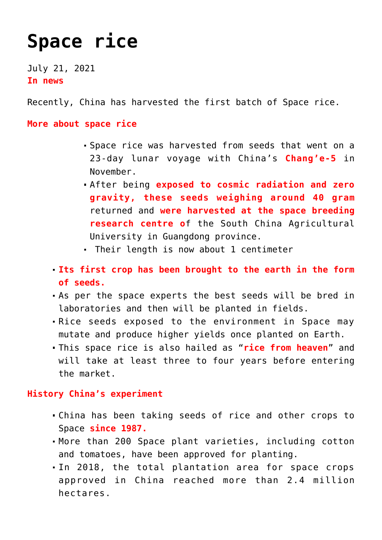## **[Space rice](https://journalsofindia.com/space-rice/)**

July 21, 2021 **In news**

Recently, China has harvested the first batch of Space rice.

**More about space rice** 

- Space rice was harvested from seeds that went on a 23-day lunar voyage with China's **Chang'e-5** in November.
- After being **exposed to cosmic radiation and zero gravity, these seeds weighing around 40 gram** returned and **were harvested at the space breeding research centre o**f the South China Agricultural University in Guangdong province.
- Their length is now about 1 centimeter
- **Its first crop has been brought to the earth in the form of seeds.**
- As per the space experts the best seeds will be bred in laboratories and then will be planted in fields.
- Rice seeds exposed to the environment in Space may mutate and produce higher yields once planted on Earth.
- This space rice is also hailed as "**rice from heaven**" and will take at least three to four years before entering the market.

**History China's experiment**

- China has been taking seeds of rice and other crops to Space **since 1987.**
- More than 200 Space plant varieties, including cotton and tomatoes, have been approved for planting.
- In 2018, the total plantation area for space crops approved in China reached more than 2.4 million hectares.